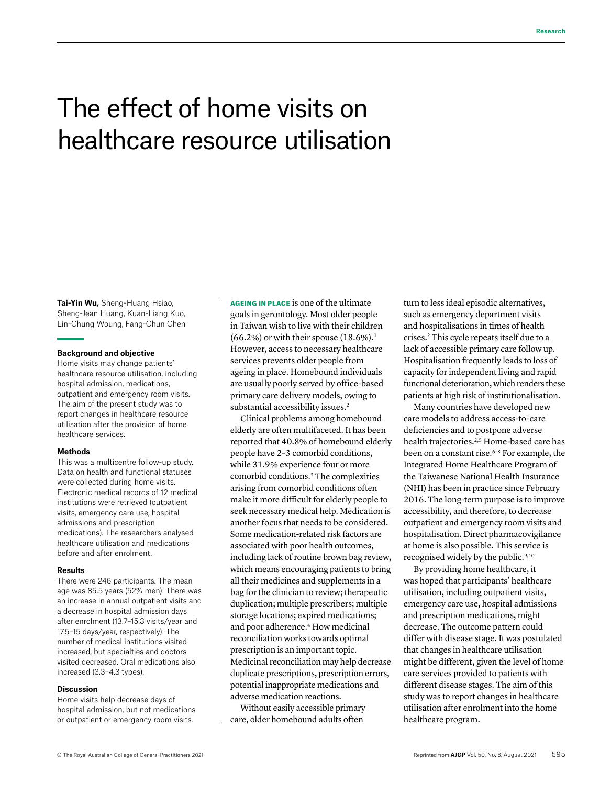# The effect of home visits on healthcare resource utilisation

**Tai-Yin Wu,** Sheng-Huang Hsiao, Sheng-Jean Huang, Kuan-Liang Kuo, Lin-Chung Woung, Fang-Chun Chen

#### **Background and objective**

Home visits may change patients' healthcare resource utilisation, including hospital admission, medications, outpatient and emergency room visits. The aim of the present study was to report changes in healthcare resource utilisation after the provision of home healthcare services.

#### **Methods**

This was a multicentre follow-up study. Data on health and functional statuses were collected during home visits. Electronic medical records of 12 medical institutions were retrieved (outpatient visits, emergency care use, hospital admissions and prescription medications). The researchers analysed healthcare utilisation and medications before and after enrolment.

#### **Results**

There were 246 participants. The mean age was 85.5 years (52% men). There was an increase in annual outpatient visits and a decrease in hospital admission days after enrolment (13.7–15.3 visits/year and 17.5–15 days/year, respectively). The number of medical institutions visited increased, but specialties and doctors visited decreased. Oral medications also increased (3.3–4.3 types).

#### **Discussion**

Home visits help decrease days of hospital admission, but not medications or outpatient or emergency room visits.

AGEING IN PLACE is one of the ultimate goals in gerontology. Most older people in Taiwan wish to live with their children  $(66.2\%)$  or with their spouse  $(18.6\%)$ <sup>1</sup> However, access to necessary healthcare services prevents older people from ageing in place. Homebound individuals are usually poorly served by office-based primary care delivery models, owing to substantial accessibility issues.<sup>2</sup>

Clinical problems among homebound elderly are often multifaceted. It has been reported that 40.8% of homebound elderly people have 2–3 comorbid conditions, while 31.9% experience four or more comorbid conditions.3 The complexities arising from comorbid conditions often make it more difficult for elderly people to seek necessary medical help. Medication is another focus that needs to be considered. Some medication-related risk factors are associated with poor health outcomes, including lack of routine brown bag review, which means encouraging patients to bring all their medicines and supplements in a bag for the clinician to review; therapeutic duplication; multiple prescribers; multiple storage locations; expired medications; and poor adherence.<sup>4</sup> How medicinal reconciliation works towards optimal prescription is an important topic. Medicinal reconciliation may help decrease duplicate prescriptions, prescription errors, potential inappropriate medications and adverse medication reactions.

Without easily accessible primary care, older homebound adults often

turn to less ideal episodic alternatives, such as emergency department visits and hospitalisations in times of health crises.2 This cycle repeats itself due to a lack of accessible primary care follow up. Hospitalisation frequently leads to loss of capacity for independent living and rapid functional deterioration, which renders these patients at high risk of institutionalisation.

Many countries have developed new care models to address access-to-care deficiencies and to postpone adverse health trajectories.<sup>2,5</sup> Home-based care has been on a constant rise.<sup>6-8</sup> For example, the Integrated Home Healthcare Program of the Taiwanese National Health Insurance (NHI) has been in practice since February 2016. The long-term purpose is to improve accessibility, and therefore, to decrease outpatient and emergency room visits and hospitalisation. Direct pharmacovigilance at home is also possible. This service is recognised widely by the public.9,10

By providing home healthcare, it was hoped that participants' healthcare utilisation, including outpatient visits, emergency care use, hospital admissions and prescription medications, might decrease. The outcome pattern could differ with disease stage. It was postulated that changes in healthcare utilisation might be different, given the level of home care services provided to patients with different disease stages. The aim of this study was to report changes in healthcare utilisation after enrolment into the home healthcare program.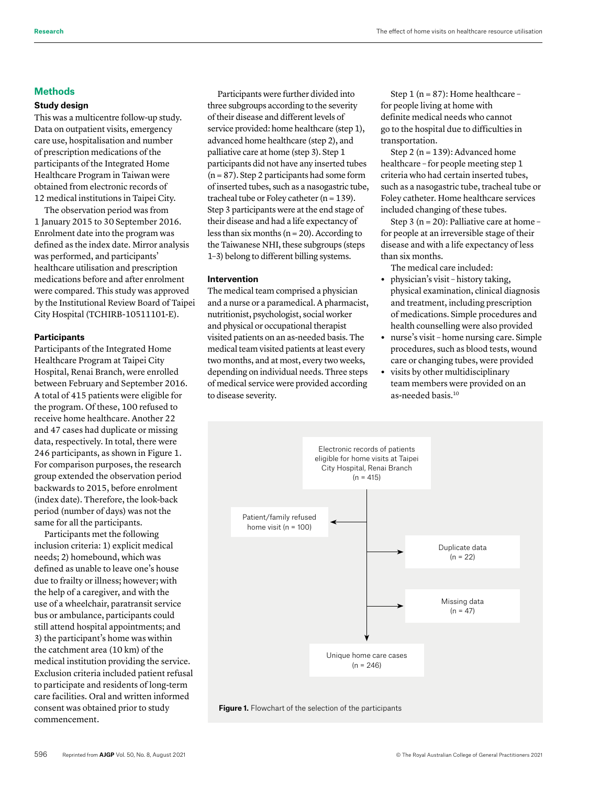# **Methods**

# **Study design**

This was a multicentre follow-up study. Data on outpatient visits, emergency care use, hospitalisation and number of prescription medications of the participants of the Integrated Home Healthcare Program in Taiwan were obtained from electronic records of 12 medical institutions in Taipei City.

The observation period was from 1 January 2015 to 30 September 2016. Enrolment date into the program was defined as the index date. Mirror analysis was performed, and participants' healthcare utilisation and prescription medications before and after enrolment were compared. This study was approved by the Institutional Review Board of Taipei City Hospital (TCHIRB-10511101-E).

#### **Participants**

Participants of the Integrated Home Healthcare Program at Taipei City Hospital, Renai Branch, were enrolled between February and September 2016. A total of 415 patients were eligible for the program. Of these, 100 refused to receive home healthcare. Another 22 and 47 cases had duplicate or missing data, respectively. In total, there were 246 participants, as shown in Figure 1. For comparison purposes, the research group extended the observation period backwards to 2015, before enrolment (index date). Therefore, the look-back period (number of days) was not the same for all the participants.

Participants met the following inclusion criteria: 1) explicit medical needs; 2) homebound, which was defined as unable to leave one's house due to frailty or illness; however; with the help of a caregiver, and with the use of a wheelchair, paratransit service bus or ambulance, participants could still attend hospital appointments; and 3) the participant's home was within the catchment area (10 km) of the medical institution providing the service. Exclusion criteria included patient refusal to participate and residents of long-term care facilities. Oral and written informed consent was obtained prior to study commencement.

Participants were further divided into three subgroups according to the severity of their disease and different levels of service provided: home healthcare (step 1), advanced home healthcare (step 2), and palliative care at home (step 3). Step 1 participants did not have any inserted tubes  $(n = 87)$ . Step 2 participants had some form of inserted tubes, such as a nasogastric tube, tracheal tube or Foley catheter ( $n = 139$ ). Step 3 participants were at the end stage of their disease and had a life expectancy of less than six months  $(n = 20)$ . According to the Taiwanese NHI, these subgroups (steps 1–3) belong to different billing systems.

# **Intervention**

The medical team comprised a physician and a nurse or a paramedical. A pharmacist, nutritionist, psychologist, social worker and physical or occupational therapist visited patients on an as-needed basis. The medical team visited patients at least every two months, and at most, every two weeks, depending on individual needs. Three steps of medical service were provided according to disease severity.

Step 1 ( $n = 87$ ): Home healthcare – for people living at home with definite medical needs who cannot go to the hospital due to difficulties in transportation.

Step 2 ( $n = 139$ ): Advanced home healthcare – for people meeting step 1 criteria who had certain inserted tubes, such as a nasogastric tube, tracheal tube or Foley catheter. Home healthcare services included changing of these tubes.

Step 3 ( $n = 20$ ): Palliative care at home – for people at an irreversible stage of their disease and with a life expectancy of less than six months.

The medical care included:

- **•** physician's visit history taking, physical examination, clinical diagnosis and treatment, including prescription of medications. Simple procedures and health counselling were also provided
- **•** nurse's visit home nursing care. Simple procedures, such as blood tests, wound care or changing tubes, were provided
- **•** visits by other multidisciplinary team members were provided on an as-needed basis.10



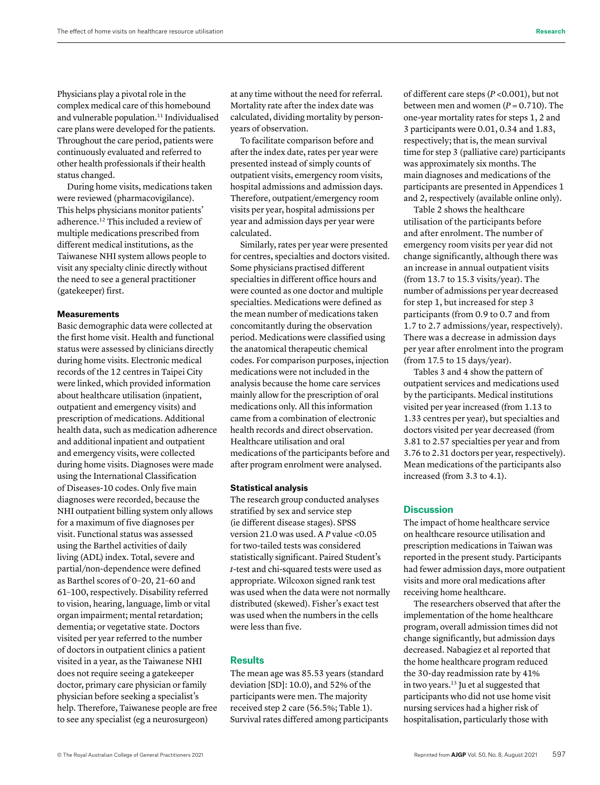Physicians play a pivotal role in the complex medical care of this homebound and vulnerable population.<sup>11</sup> Individualised care plans were developed for the patients. Throughout the care period, patients were continuously evaluated and referred to other health professionals if their health status changed.

During home visits, medications taken were reviewed (pharmacovigilance). This helps physicians monitor patients' adherence.12 This included a review of multiple medications prescribed from different medical institutions, as the Taiwanese NHI system allows people to visit any specialty clinic directly without the need to see a general practitioner (gatekeeper) first.

# **Measurements**

Basic demographic data were collected at the first home visit. Health and functional status were assessed by clinicians directly during home visits. Electronic medical records of the 12 centres in Taipei City were linked, which provided information about healthcare utilisation (inpatient, outpatient and emergency visits) and prescription of medications. Additional health data, such as medication adherence and additional inpatient and outpatient and emergency visits, were collected during home visits. Diagnoses were made using the International Classification of Diseases-10 codes. Only five main diagnoses were recorded, because the NHI outpatient billing system only allows for a maximum of five diagnoses per visit. Functional status was assessed using the Barthel activities of daily living (ADL) index. Total, severe and partial/non-dependence were defined as Barthel scores of 0–20, 21–60 and 61–100, respectively. Disability referred to vision, hearing, language, limb or vital organ impairment; mental retardation; dementia; or vegetative state. Doctors visited per year referred to the number of doctors in outpatient clinics a patient visited in a year, as the Taiwanese NHI does not require seeing a gatekeeper doctor, primary care physician or family physician before seeking a specialist's help. Therefore, Taiwanese people are free to see any specialist (eg a neurosurgeon)

at any time without the need for referral. Mortality rate after the index date was calculated, dividing mortality by personyears of observation.

To facilitate comparison before and after the index date, rates per year were presented instead of simply counts of outpatient visits, emergency room visits, hospital admissions and admission days. Therefore, outpatient/emergency room visits per year, hospital admissions per year and admission days per year were calculated.

Similarly, rates per year were presented for centres, specialties and doctors visited. Some physicians practised different specialties in different office hours and were counted as one doctor and multiple specialties. Medications were defined as the mean number of medications taken concomitantly during the observation period. Medications were classified using the anatomical therapeutic chemical codes. For comparison purposes, injection medications were not included in the analysis because the home care services mainly allow for the prescription of oral medications only. All this information came from a combination of electronic health records and direct observation. Healthcare utilisation and oral medications of the participants before and after program enrolment were analysed.

## **Statistical analysis**

The research group conducted analyses stratified by sex and service step (ie different disease stages). SPSS version 21.0 was used. A *P* value <0.05 for two-tailed tests was considered statistically significant. Paired Student's *t*-test and chi-squared tests were used as appropriate. Wilcoxon signed rank test was used when the data were not normally distributed (skewed). Fisher's exact test was used when the numbers in the cells were less than five.

## **Results**

The mean age was 85.53 years (standard deviation [SD]: 10.0), and 52% of the participants were men. The majority received step 2 care (56.5%; Table 1). Survival rates differed among participants of different care steps (*P* <0.001), but not between men and women  $(P = 0.710)$ . The one-year mortality rates for steps 1, 2 and 3 participants were 0.01, 0.34 and 1.83, respectively; that is, the mean survival time for step 3 (palliative care) participants was approximately six months. The main diagnoses and medications of the participants are presented in Appendices 1 and 2, respectively (available online only).

Table 2 shows the healthcare utilisation of the participants before and after enrolment. The number of emergency room visits per year did not change significantly, although there was an increase in annual outpatient visits (from 13.7 to 15.3 visits/year). The number of admissions per year decreased for step 1, but increased for step 3 participants (from 0.9 to 0.7 and from 1.7 to 2.7 admissions/year, respectively). There was a decrease in admission days per year after enrolment into the program (from 17.5 to 15 days/year).

Tables 3 and 4 show the pattern of outpatient services and medications used by the participants. Medical institutions visited per year increased (from 1.13 to 1.33 centres per year), but specialties and doctors visited per year decreased (from 3.81 to 2.57 specialties per year and from 3.76 to 2.31 doctors per year, respectively). Mean medications of the participants also increased (from 3.3 to 4.1).

# **Discussion**

The impact of home healthcare service on healthcare resource utilisation and prescription medications in Taiwan was reported in the present study. Participants had fewer admission days, more outpatient visits and more oral medications after receiving home healthcare.

The researchers observed that after the implementation of the home healthcare program, overall admission times did not change significantly, but admission days decreased. Nabagiez et al reported that the home healthcare program reduced the 30-day readmission rate by 41% in two years.<sup>13</sup> Ju et al suggested that participants who did not use home visit nursing services had a higher risk of hospitalisation, particularly those with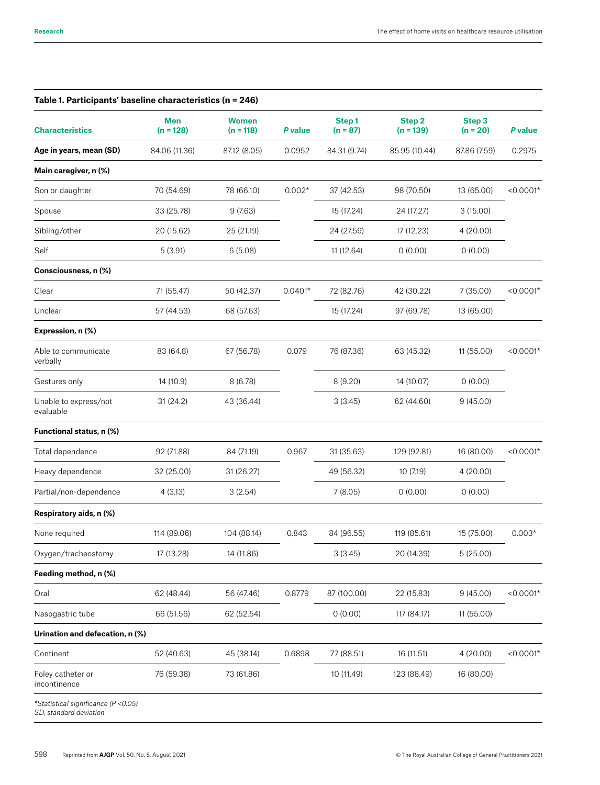| Table 1. Participants' baseline characteristics (n = 246)      |                           |                             |           |                     |                       |                      |             |
|----------------------------------------------------------------|---------------------------|-----------------------------|-----------|---------------------|-----------------------|----------------------|-------------|
| <b>Characteristics</b>                                         | <b>Men</b><br>$(n = 128)$ | <b>Women</b><br>$(n = 118)$ | P value   | Step1<br>$(n = 87)$ | Step 2<br>$(n = 139)$ | Step 3<br>$(n = 20)$ | P value     |
| Age in years, mean (SD)                                        | 84.06 (11.36)             | 87.12 (8.05)                | 0.0952    | 84.31 (9.74)        | 85.95 (10.44)         | 87.86 (7.59)         | 0.2975      |
| Main caregiver, n (%)                                          |                           |                             |           |                     |                       |                      |             |
| Son or daughter                                                | 70 (54.69)                | 78 (66.10)                  | $0.002*$  | 37 (42.53)          | 98 (70.50)            | 13 (65.00)           | $< 0.0001*$ |
| Spouse                                                         | 33 (25.78)                | 9(7.63)                     |           | 15 (17.24)          | 24 (17.27)            | 3(15.00)             |             |
| Sibling/other                                                  | 20 (15.62)                | 25 (21.19)                  |           | 24 (27.59)          | 17 (12.23)            | 4(20.00)             |             |
| Self                                                           | 5(3.91)                   | 6(5.08)                     |           | 11 (12.64)          | 0(0.00)               | 0(0.00)              |             |
| Consciousness, n (%)                                           |                           |                             |           |                     |                       |                      |             |
| Clear                                                          | 71 (55.47)                | 50 (42.37)                  | $0.0401*$ | 72 (82.76)          | 42 (30.22)            | 7 (35.00)            | $< 0.0001*$ |
| Unclear                                                        | 57 (44.53)                | 68 (57.63)                  |           | 15 (17.24)          | 97 (69.78)            | 13 (65.00)           |             |
| Expression, n (%)                                              |                           |                             |           |                     |                       |                      |             |
| Able to communicate<br>verbally                                | 83 (64.8)                 | 67 (56.78)                  | 0.079     | 76 (87.36)          | 63 (45.32)            | 11 (55.00)           | $< 0.0001*$ |
| Gestures only                                                  | 14 (10.9)                 | 8(6.78)                     |           | 8(9.20)             | 14 (10.07)            | 0(0.00)              |             |
| Unable to express/not<br>evaluable                             | 31(24.2)                  | 43 (36.44)                  |           | 3(3.45)             | 62 (44.60)            | 9(45.00)             |             |
| Functional status, n (%)                                       |                           |                             |           |                     |                       |                      |             |
| Total dependence                                               | 92 (71.88)                | 84 (71.19)                  | 0.967     | 31 (35.63)          | 129 (92.81)           | 16 (80.00)           | $< 0.0001*$ |
| Heavy dependence                                               | 32 (25.00)                | 31 (26.27)                  |           | 49 (56.32)          | 10 (7.19)             | 4(20.00)             |             |
| Partial/non-dependence                                         | 4(3.13)                   | 3(2.54)                     |           | 7(8.05)             | 0(0.00)               | 0(0.00)              |             |
| Respiratory aids, n (%)                                        |                           |                             |           |                     |                       |                      |             |
| None required                                                  | 114 (89.06)               | 104 (88.14)                 | 0.843     | 84 (96.55)          | 119 (85.61)           | 15 (75.00)           | $0.003*$    |
| Oxygen/tracheostomy                                            | 17 (13.28)                | 14 (11.86)                  |           | 3(3.45)             | 20 (14.39)            | 5(25.00)             |             |
| Feeding method, n (%)                                          |                           |                             |           |                     |                       |                      |             |
| Oral                                                           | 62 (48.44)                | 56 (47.46)                  | 0.8779    | 87 (100.00)         | 22 (15.83)            | 9(45.00)             | $< 0.0001*$ |
| Nasogastric tube                                               | 66 (51.56)                | 62 (52.54)                  |           | 0(0.00)             | 117 (84.17)           | 11 (55.00)           |             |
| Urination and defecation, n (%)                                |                           |                             |           |                     |                       |                      |             |
| Continent                                                      | 52 (40.63)                | 45 (38.14)                  | 0.6898    | 77 (88.51)          | 16 (11.51)            | 4(20.00)             | $< 0.0001*$ |
| Foley catheter or<br>incontinence                              | 76 (59.38)                | 73 (61.86)                  |           | 10 (11.49)          | 123 (88.49)           | 16 (80.00)           |             |
| *Statistical significance (P < 0.05)<br>SD, standard deviation |                           |                             |           |                     |                       |                      |             |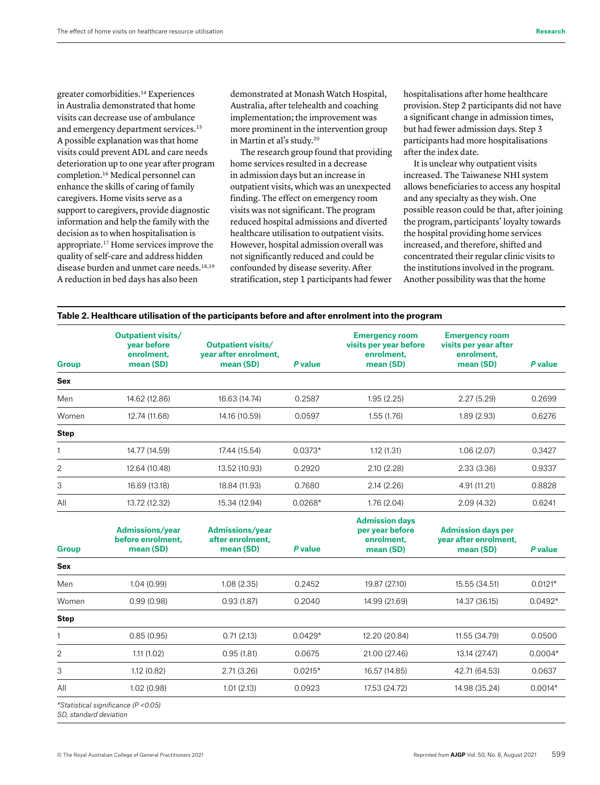greater comorbidities.14 Experiences in Australia demonstrated that home visits can decrease use of ambulance and emergency department services.<sup>15</sup> A possible explanation was that home visits could prevent ADL and care needs deterioration up to one year after program completion.16 Medical personnel can enhance the skills of caring of family caregivers. Home visits serve as a support to caregivers, provide diagnostic information and help the family with the decision as to when hospitalisation is appropriate.17 Home services improve the quality of self-care and address hidden disease burden and unmet care needs.<sup>18,19</sup> A reduction in bed days has also been

demonstrated at Monash Watch Hospital, Australia, after telehealth and coaching implementation; the improvement was more prominent in the intervention group in Martin et al's study.<sup>20</sup>

The research group found that providing home services resulted in a decrease in admission days but an increase in outpatient visits, which was an unexpected finding. The effect on emergency room visits was not significant. The program reduced hospital admissions and diverted healthcare utilisation to outpatient visits. However, hospital admission overall was not significantly reduced and could be confounded by disease severity. After stratification, step 1 participants had fewer

hospitalisations after home healthcare provision. Step 2 participants did not have a significant change in admission times, but had fewer admission days. Step 3 participants had more hospitalisations after the index date.

It is unclear why outpatient visits increased. The Taiwanese NHI system allows beneficiaries to access any hospital and any specialty as they wish. One possible reason could be that, after joining the program, participants' loyalty towards the hospital providing home services increased, and therefore, shifted and concentrated their regular clinic visits to the institutions involved in the program. Another possibility was that the home

| Table 2. Healthcare utilisation of the participants before and after enrolment into the program |  |  |
|-------------------------------------------------------------------------------------------------|--|--|
|                                                                                                 |  |  |

| <b>Group</b> | <b>Outpatient visits/</b><br>year before<br>enrolment,<br>mean (SD) | Outpatient visits/<br>year after enrolment,<br>mean (SD) | P value   | <b>Emergency room</b><br>visits per year before<br>enrolment,<br>mean (SD) | <b>Emergency room</b><br>visits per year after<br>enrolment,<br>mean (SD) | P value |
|--------------|---------------------------------------------------------------------|----------------------------------------------------------|-----------|----------------------------------------------------------------------------|---------------------------------------------------------------------------|---------|
| Sex          |                                                                     |                                                          |           |                                                                            |                                                                           |         |
| Men          | 14.62 (12.86)                                                       | 16.63 (14.74)                                            | 0.2587    | 1.95(2.25)                                                                 | 2.27(5.29)                                                                | 0.2699  |
| Women        | 12.74 (11.68)                                                       | 14.16 (10.59)                                            | 0.0597    | 1.55(1.76)                                                                 | 1.89(2.93)                                                                | 0.6276  |
| <b>Step</b>  |                                                                     |                                                          |           |                                                                            |                                                                           |         |
|              | 14.77 (14.59)                                                       | 17.44 (15.54)                                            | $0.0373*$ | 1.12(1.31)                                                                 | 1.06(2.07)                                                                | 0.3427  |
| 2            | 12.64 (10.48)                                                       | 13.52 (10.93)                                            | 0.2920    | 2.10(2.28)                                                                 | 2.33(3.36)                                                                | 0.9337  |
| 3            | 16.69 (13.18)                                                       | 18.84 (11.93)                                            | 0.7680    | 2.14(2.26)                                                                 | 4.91 (11.21)                                                              | 0.8828  |
| All          | 13.72 (12.32)                                                       | 15.34 (12.94)                                            | $0.0268*$ | 1.76(2.04)                                                                 | 2.09(4.32)                                                                | 0.6241  |

| <b>Group</b>   | <b>Admissions/year</b><br>before enrolment,<br>mean (SD) | <b>Admissions/year</b><br>after enrolment,<br>mean (SD) | P value   | <b>Admission days</b><br>per year before<br>enrolment,<br>mean (SD) | <b>Admission days per</b><br>year after enrolment,<br>mean (SD) | P value   |
|----------------|----------------------------------------------------------|---------------------------------------------------------|-----------|---------------------------------------------------------------------|-----------------------------------------------------------------|-----------|
| Sex            |                                                          |                                                         |           |                                                                     |                                                                 |           |
| Men            | 1.04(0.99)                                               | 1.08(2.35)                                              | 0.2452    | 19.87 (27.10)                                                       | 15.55 (34.51)                                                   | $0.0121*$ |
| Women          | 0.99(0.98)                                               | 0.93(1.87)                                              | 0.2040    | 14.99 (21.69)                                                       | 14.37 (36.15)                                                   | $0.0492*$ |
| <b>Step</b>    |                                                          |                                                         |           |                                                                     |                                                                 |           |
|                | 0.85(0.95)                                               | 0.71(2.13)                                              | $0.0429*$ | 12.20 (20.84)                                                       | 11.55 (34.79)                                                   | 0.0500    |
| $\overline{2}$ | 1.11(1.02)                                               | 0.95(1.81)                                              | 0.0675    | 21.00 (27.46)                                                       | 13.14 (27.47)                                                   | $0.0004*$ |
| 3              | 1.12(0.82)                                               | 2.71(3.26)                                              | $0.0215*$ | 16.57 (14.85)                                                       | 42.71 (64.53)                                                   | 0.0637    |
| All            | 1.02(0.98)                                               | 1.01(2.13)                                              | 0.0923    | 17.53 (24.72)                                                       | 14.98 (35.24)                                                   | $0.0014*$ |
|                | *Statistical significance (P < 0.05)                     |                                                         |           |                                                                     |                                                                 |           |

*SD, standard deviation*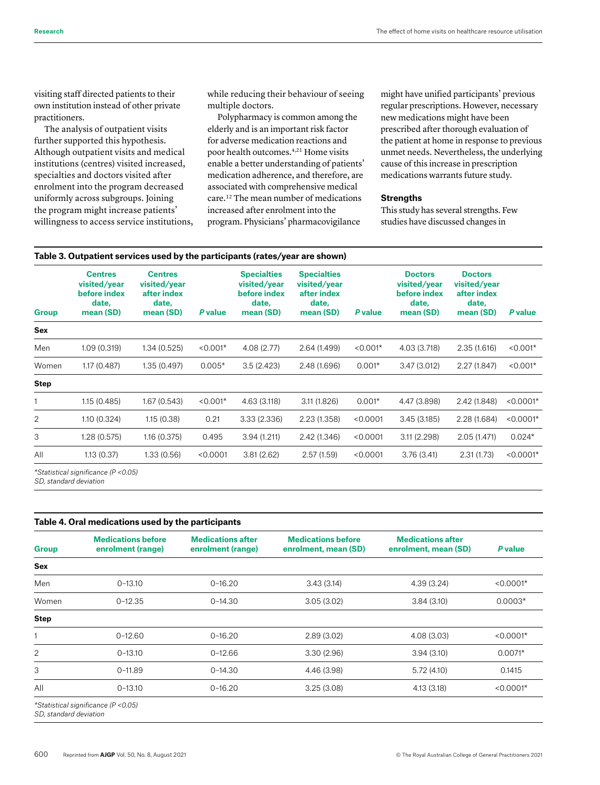visiting staff directed patients to their own institution instead of other private practitioners.

The analysis of outpatient visits further supported this hypothesis. Although outpatient visits and medical institutions (centres) visited increased, specialties and doctors visited after enrolment into the program decreased uniformly across subgroups. Joining the program might increase patients' willingness to access service institutions, while reducing their behaviour of seeing multiple doctors.

Polypharmacy is common among the elderly and is an important risk factor for adverse medication reactions and poor health outcomes.4,21 Home visits enable a better understanding of patients' medication adherence, and therefore, are associated with comprehensive medical care.12 The mean number of medications increased after enrolment into the program. Physicians' pharmacovigilance

might have unified participants' previous regular prescriptions. However, necessary new medications might have been prescribed after thorough evaluation of the patient at home in response to previous unmet needs. Nevertheless, the underlying cause of this increase in prescription medications warrants future study.

#### **Strengths**

This study has several strengths. Few studies have discussed changes in

| <b>Group</b> | <b>Centres</b><br>visited/year<br>before index<br>date,<br>mean (SD) | <b>Centres</b><br>visited/year<br>after index<br>date,<br>mean (SD) | P value    | <b>Specialties</b><br>visited/year<br>before index<br>date,<br>mean (SD) | <b>Specialties</b><br>visited/year<br>after index<br>date,<br>mean (SD) | P value    | <b>Doctors</b><br>visited/year<br>before index<br>date,<br>mean (SD) | <b>Doctors</b><br>visited/year<br>after index<br>date,<br>mean (SD) | P value     |
|--------------|----------------------------------------------------------------------|---------------------------------------------------------------------|------------|--------------------------------------------------------------------------|-------------------------------------------------------------------------|------------|----------------------------------------------------------------------|---------------------------------------------------------------------|-------------|
| Sex          |                                                                      |                                                                     |            |                                                                          |                                                                         |            |                                                                      |                                                                     |             |
| Men          | 1.09(0.319)                                                          | 1.34 (0.525)                                                        | $< 0.001*$ | 4.08(2.77)                                                               | 2.64 (1.499)                                                            | $< 0.001*$ | 4.03 (3.718)                                                         | 2.35(1.616)                                                         | $< 0.001*$  |
| Women        | 1.17 (0.487)                                                         | 1.35 (0.497)                                                        | $0.005*$   | 3.5(2.423)                                                               | 2.48 (1.696)                                                            | $0.001*$   | 3.47(3.012)                                                          | 2.27(1.847)                                                         | $< 0.001*$  |
| <b>Step</b>  |                                                                      |                                                                     |            |                                                                          |                                                                         |            |                                                                      |                                                                     |             |
|              | 1.15 (0.485)                                                         | 1.67 (0.543)                                                        | $< 0.001*$ | 4.63 (3.118)                                                             | 3.11 (1.826)                                                            | $0.001*$   | 4.47 (3.898)                                                         | 2.42 (1.848)                                                        | $< 0.0001*$ |
| 2            | 1.10(0.324)                                                          | 1.15(0.38)                                                          | 0.21       | 3.33(2.336)                                                              | 2.23 (1.358)                                                            | < 0.0001   | 3.45(3.185)                                                          | 2.28 (1.684)                                                        | $< 0.0001*$ |
| 3            | 1.28(0.575)                                                          | 1.16 (0.375)                                                        | 0.495      | 3.94(1.211)                                                              | 2.42 (1.346)                                                            | < 0.0001   | 3.11(2.298)                                                          | 2.05(1.471)                                                         | $0.024*$    |
| All          | 1.13(0.37)                                                           | 1.33 (0.56)                                                         | < 0.0001   | 3.81(2.62)                                                               | 2.57(1.59)                                                              | < 0.0001   | 3.76(3.41)                                                           | 2.31(1.73)                                                          | $< 0.0001*$ |
|              | *Statistical significance (P < 0.05)                                 |                                                                     |            |                                                                          |                                                                         |            |                                                                      |                                                                     |             |

*SD, standard deviation*

## **Table 4. Oral medications used by the participants**

| <b>Group</b>   | <b>Medications before</b><br>enrolment (range) | <b>Medications after</b><br>enrolment (range) | <b>Medications before</b><br>enrolment, mean (SD) | <b>Medications after</b><br>enrolment, mean (SD) | <b>P</b> value |
|----------------|------------------------------------------------|-----------------------------------------------|---------------------------------------------------|--------------------------------------------------|----------------|
| Sex            |                                                |                                               |                                                   |                                                  |                |
| Men            | $0 - 13.10$                                    | $0 - 16.20$                                   | 3.43(3.14)                                        | 4.39(3.24)                                       | $< 0.0001*$    |
| Women          | $0 - 12.35$                                    | $0 - 14.30$                                   | 3.05(3.02)                                        | 3.84(3.10)                                       | $0.0003*$      |
| <b>Step</b>    |                                                |                                               |                                                   |                                                  |                |
|                | $0 - 12.60$                                    | $0 - 16.20$                                   | 2.89(3.02)                                        | 4.08(3.03)                                       | $< 0.0001*$    |
| $\overline{2}$ | $0 - 13.10$                                    | $0 - 12.66$                                   | 3.30(2.96)                                        | 3.94(3.10)                                       | $0.0071*$      |
| 3              | $0 - 11.89$                                    | $0 - 14.30$                                   | 4.46 (3.98)                                       | 5.72(4.10)                                       | 0.1415         |
| All            | $0 - 13.10$                                    | $0 - 16.20$                                   | 3.25(3.08)                                        | 4.13 (3.18)                                      | $< 0.0001*$    |

*SD, standard deviation*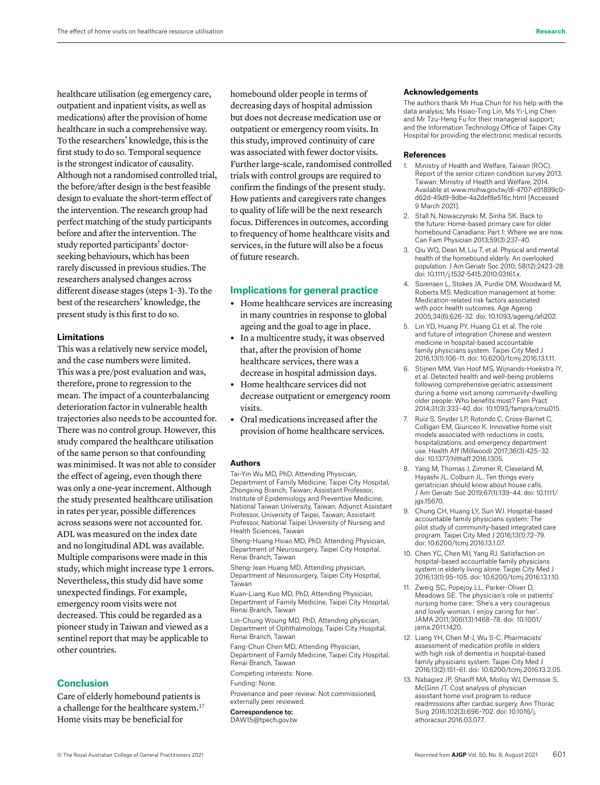healthcare utilisation (eg emergency care, outpatient and inpatient visits, as well as medications) after the provision of home healthcare in such a comprehensive way. To the researchers' knowledge, this is the first study to do so. Temporal sequence is the strongest indicator of causality. Although not a randomised controlled trial, the before/after design is the best feasible design to evaluate the short-term effect of the intervention. The research group had perfect matching of the study participants before and after the intervention. The study reported participants' doctorseeking behaviours, which has been rarely discussed in previous studies. The researchers analysed changes across different disease stages (steps 1–3). To the best of the researchers' knowledge, the present study is this first to do so.

#### **Limitations**

This was a relatively new service model, and the case numbers were limited. This was a pre/post evaluation and was, therefore, prone to regression to the mean. The impact of a counterbalancing deterioration factor in vulnerable health trajectories also needs to be accounted for. There was no control group. However, this study compared the healthcare utilisation of the same person so that confounding was minimised. It was not able to consider the effect of ageing, even though there was only a one-year increment. Although the study presented healthcare utilisation in rates per year, possible differences across seasons were not accounted for. ADL was measured on the index date and no longitudinal ADL was available. Multiple comparisons were made in this study, which might increase type 1 errors. Nevertheless, this study did have some unexpected findings. For example, emergency room visits were not decreased. This could be regarded as a pioneer study in Taiwan and viewed as a sentinel report that may be applicable to other countries.

## **Conclusion**

Care of elderly homebound patients is a challenge for the healthcare system.17 Home visits may be beneficial for

homebound older people in terms of decreasing days of hospital admission but does not decrease medication use or outpatient or emergency room visits. In this study, improved continuity of care was associated with fewer doctor visits. Further large-scale, randomised controlled trials with control groups are required to confirm the findings of the present study. How patients and caregivers rate changes to quality of life will be the next research focus. Differences in outcomes, according to frequency of home healthcare visits and services, in the future will also be a focus of future research.

# **Implications for general practice**

- **•** Home healthcare services are increasing in many countries in response to global ageing and the goal to age in place.
- **•** In a multicentre study, it was observed that, after the provision of home healthcare services, there was a decrease in hospital admission days.
- **•** Home healthcare services did not decrease outpatient or emergency room visits.
- **•** Oral medications increased after the provision of home healthcare services.

#### **Authors**

Tai-Yin Wu MD, PhD, Attending Physician, Department of Family Medicine, Taipei City Hospital, Zhongxing Branch, Taiwan; Assistant Professor, Institute of Epidemiology and Preventive Medicine, National Taiwan University, Taiwan; Adjunct Assistant Professor, University of Taipei, Taiwan; Assistant Professor, National Taipei University of Nursing and Health Sciences, Taiwan

Sheng-Huang Hsiao MD, PhD, Attending Physician, Department of Neurosurgery, Taipei City Hospital, Renai Branch, Taiwan

Sheng-Jean Huang MD, Attending physician, Department of Neurosurgery, Taipei City Hospital, Taiwan

Kuan-Liang Kuo MD, PhD, Attending Physician, Department of Family Medicine, Taipei City Hospital, Renai Branch, Taiwan

Lin-Chung Woung MD, PhD, Attending physician, Department of Ophthalmology, Taipei City Hospital, Renai Branch, Taiwan

Fang-Chun Chen MD, Attending Physician, Department of Family Medicine, Taipei City Hospital, Renai Branch, Taiwan

Competing interests: None.

Funding: None.

Provenance and peer review: Not commissioned, externally peer reviewed.

Correspondence to: [DAW15@tpech.gov.tw](mailto:DAW15@tpech.gov.tw)

#### **Acknowledgements**

The authors thank Mr Hua Chun for his help with the data analysis; Ms Hsiao-Ting Lin, Ms Yi-Ling Chen and Mr Tzu-Heng Fu for their managerial support; and the Information Technology Office of Taipei City Hospital for providing the electronic medical records.

#### **References**

- 1. Ministry of Health and Welfare, Taiwan (ROC). Report of the senior citizen condition survey 2013. Taiwan: Ministry of Health and Welfare, 2014. Available at [www.mohw.gov.tw/dl-4707-e91899c0](https://www.mohw.gov.tw/dl-4707-e91899c0-d62d-49d9-9dbe-4a2def8e516c.html) [d62d-49d9-9dbe-4a2def8e516c.html](https://www.mohw.gov.tw/dl-4707-e91899c0-d62d-49d9-9dbe-4a2def8e516c.html) [Accessed 9 March 2021].
- 2. Stall N, Nowaczynski M, Sinha SK. Back to the future: Home-based primary care for older homebound Canadians: Part 1: Where we are now. Can Fam Physician 2013;59(3):237–40.
- 3. Qiu WQ, Dean M, Liu T, et al. Physical and mental health of the homebound elderly: An overlooked population. J Am Geriatr Soc 2010; 58(12):2423–28. doi: 10.1111/j.1532-5415.2010.03161.x.
- 4. Sorensen L, Stokes JA, Purdie DM, Woodward M, Roberts MS. Medication management at home: Medication-related risk factors associated with poor health outcomes. Age Ageing 2005;34(6):626–32. doi: 10.1093/ageing/afi202.
- 5. Lin YD, Huang PY, Huang CJ, et al. The role and future of integration Chinese and western medicine in hospital-based accountable family physicians system. Taipei City Med J 2016;13(1):106–11. doi: 10.6200/tcmj.2016.13.1.11.
- 6. Stijnen MM, Van Hoof MS, Wijnands-Hoekstra IY, et al. Detected health and well-being problems following comprehensive geriatric assessment during a home visit among community-dwelling older people: Who benefits most? Fam Pract 2014;31(3):333–40. doi: 10.1093/fampra/cmu015.
- 7. Ruiz S, Snyder LP, Rotondo C, Cross-Barnet C, Colligan EM, Giuriceo K. Innovative home visit models associated with reductions in costs, hospitalizations, and emergency department use. Health Aff (Millwood) 2017;36(3):425–32. doi: 10.1377/hlthaff.2016.1305.
- 8. Yang M, Thomas J, Zimmer R, Cleveland M, Hayashi JL, Colburn JL. Ten things every geriatrician should know about house calls. J Am Geriatr Soc 2019;67(1):139–44. doi: 10.1111/ jgs.15670.
- 9. Chung CH, Huang LY, Sun WJ. Hospital-based accountable family physicians system: The pilot study of community-based integrated care program. Taipei City Med J 2016;13(1):72–79. doi: 10.6200/tcmj.2016.13.1.07.
- 10. Chen YC, Chen MJ, Yang RJ. Satisfaction on hospital-based accountable family physicians system in elderly living alone. Taipei City Med J 2016;13(1):95–105. doi: 10.6200/tcmj.2016.13.1.10.
- 11. Zweig SC, Popejoy LL, Parker-Oliver D, Meadows SE. The physician's role in patients' nursing home care: 'She's a very courageous and lovely woman. I enjoy caring for her'. JAMA 2011;306(13):1468–78. doi: 10.1001/ jama.2011.1420.
- 12. Liang YH, Chen M-J, Wu S-C. Pharmacists' assessment of medication profile in elders with high risk of dementia in hospital-based family physicians system. Taipei City Med J 2016;13(2):151–61. doi: 10.6200/tcmj.2016.13.2.05.
- 13. Nabagiez JP, Shariff MA, Molloy WJ, Demissie S, McGinn JT. Cost analysis of physician assistant home visit program to reduce readmissions after cardiac surgery. Ann Thorac Surg 2016;102(3):696–702. doi: 10.1016/j. athoracsur.2016.03.077.